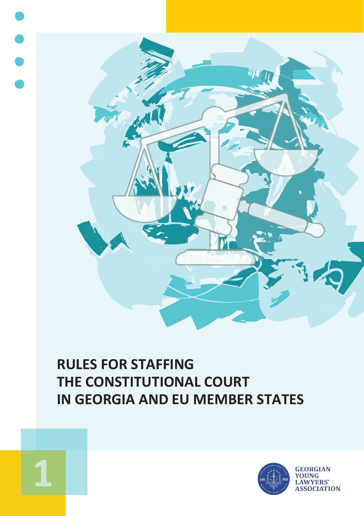

# **RULES FOR STAFFING THE CONSTITUTIONAL COURT IN GEORGIA AND EU MEMBER STATES**



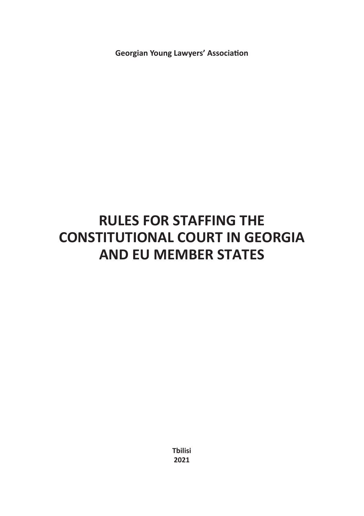**Georgian Young Lawyers' Association**

# **RULES FOR STAFFING THE CONSTITUTIONAL COURT IN GEORGIA AND EU MEMBER STATES**

**Tbilisi 2021**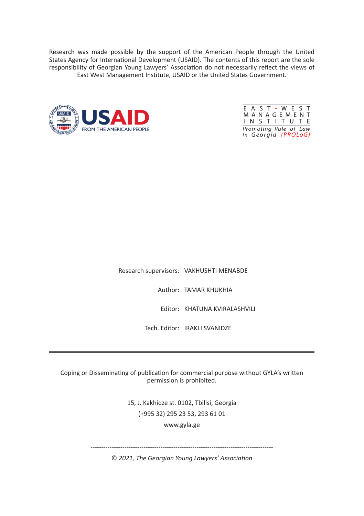Research was made possible by the support of the American People through the United States Agency for International Development (USAID). The contents of this report are the sole responsibility of Georgian Young Lawyers' Association do not necessarily reflect the views of East West Management Institute, USAID or the United States Government.





Research supervisors: VAKHUSHTI MENABDE

Author: TAMAR KHUKHIA

Editor: KHATUNA KVIRALASHVILI

Tech. Editor: IRAKLI SVANIDZE

Coping or Disseminating of publication for commercial purpose without GYLA's written permission is prohibited.

> 15, J. Kakhidze st. 0102, Tbilisi, Georgia (+995 32) 295 23 53, 293 61 01 www.gyla.ge

--------------------------------------------------------------------------------------

© *2021, The Georgian Young Lawyers' Association*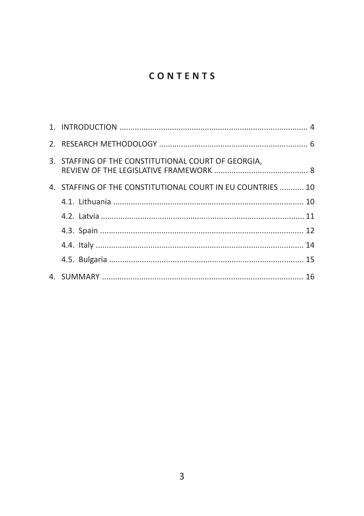## CONTENTS

| 3. STAFFING OF THE CONSTITUTIONAL COURT OF GEORGIA.         |  |
|-------------------------------------------------------------|--|
| 4. STAFFING OF THE CONSTITUTIONAL COURT IN EU COUNTRIES  10 |  |
|                                                             |  |
|                                                             |  |
|                                                             |  |
|                                                             |  |
|                                                             |  |
|                                                             |  |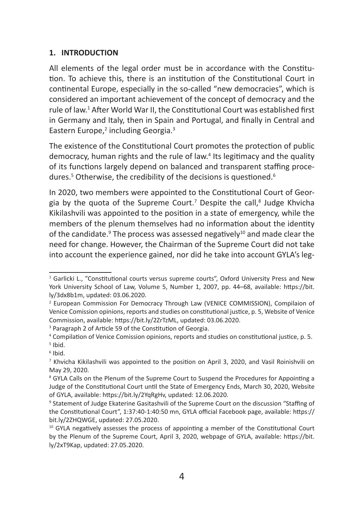#### **1. INTRODUCTION**

All elements of the legal order must be in accordance with the Constitution. To achieve this, there is an institution of the Constitutional Court in continental Europe, especially in the so-called "new democracies", which is considered an important achievement of the concept of democracy and the rule of law.<sup>1</sup> After World War II, the Constitutional Court was established first in Germany and Italy, then in Spain and Portugal, and finally in Central and Eastern Europe,<sup>2</sup> including Georgia.<sup>3</sup>

The existence of the Constitutional Court promotes the protection of public democracy, human rights and the rule of law.<sup>4</sup> Its legitimacy and the quality of its functions largely depend on balanced and transparent staffing procedures.<sup>5</sup> Otherwise, the credibility of the decisions is questioned.<sup>6</sup>

In 2020, two members were appointed to the Constitutional Court of Georgia by the quota of the Supreme Court.<sup>7</sup> Despite the call,<sup>8</sup> Judge Khvicha Kikilashvili was appointed to the position in a state of emergency, while the members of the plenum themselves had no information about the identity of the candidate. $9$  The process was assessed negatively $^{10}$  and made clear the need for change. However, the Chairman of the Supreme Court did not take into account the experience gained, nor did he take into account GYLA's leg-

<sup>1</sup> Garlicki L., "Constitutional courts versus supreme courts", Oxford University Press and New York University School of Law, Volume 5, Number 1, 2007, pp. 44–68, available: https://bit. ly/3dx8b1m, updated: 03.06.2020.

<sup>2</sup> European Commission For Democracy Through Law (VENICE COMMISSION), Compilaion of Venice Comission opinions, reports and studies on constitutional justice, p. 5, Website of Venice Commission, available: https://bit.ly/2ZrTzML, updated: 03.06.2020.

<sup>&</sup>lt;sup>3</sup> Paragraph 2 of Article 59 of the Constitution of Georgia.

<sup>4</sup> Compilation of Venice Comission opinions, reports and studies on constitutional justice, p. 5.

<sup>5</sup> Ibid. 6 Ibid.

<sup>7</sup> Khvicha Kikilashvili was appointed to the position on April 3, 2020, and Vasil Roinishvili on May 29, 2020.

<sup>&</sup>lt;sup>8</sup> GYLA Calls on the Plenum of the Supreme Court to Suspend the Procedures for Appointing a Judge of the Constitutional Court until the State of Emergency Ends, March 30, 2020, Website of GYLA, available: https://bit.ly/2YqRgHv, updated: 12.06.2020.

<sup>&</sup>lt;sup>9</sup> Statement of Judge Ekaterine Gasitashvili of the Supreme Court on the discussion "Staffing of the Constitutional Court", 1:37:40-1:40:50 mn, GYLA official Facebook page, available: https:// bit.ly/2ZHQWGE, updated: 27.05.2020.

 $10$  GYLA negatively assesses the process of appointing a member of the Constitutional Court by the Plenum of the Supreme Court, April 3, 2020, webpage of GYLA, available: https://bit. ly/2xT9Kap, updated: 27.05.2020.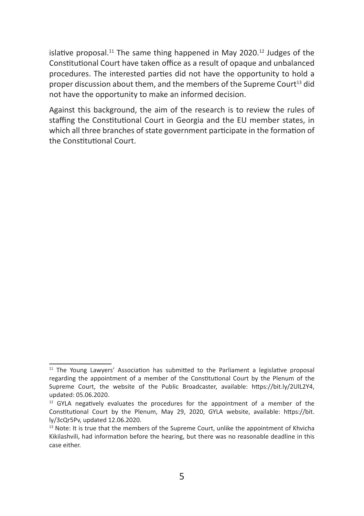islative proposal.<sup>11</sup> The same thing happened in May 2020.<sup>12</sup> Judges of the Constitutional Court have taken office as a result of opaque and unbalanced procedures. The interested parties did not have the opportunity to hold a proper discussion about them, and the members of the Supreme Court<sup>13</sup> did not have the opportunity to make an informed decision.

Against this background, the aim of the research is to review the rules of staffing the Constitutional Court in Georgia and the EU member states, in which all three branches of state government participate in the formation of the Constitutional Court.

<sup>&</sup>lt;sup>11</sup> The Young Lawyers' Association has submitted to the Parliament a legislative proposal regarding the appointment of a member of the Constitutional Court by the Plenum of the Supreme Court, the website of the Public Broadcaster, available: https://bit.ly/2UlL2Y4, updated: 05.06.2020.

<sup>&</sup>lt;sup>12</sup> GYLA negatively evaluates the procedures for the appointment of a member of the Constitutional Court by the Plenum, May 29, 2020, GYLA website, available: https://bit. ly/3cQr5Pv, updated 12.06.2020.

<sup>&</sup>lt;sup>13</sup> Note: It is true that the members of the Supreme Court, unlike the appointment of Khvicha Kikilashvili, had information before the hearing, but there was no reasonable deadline in this case either.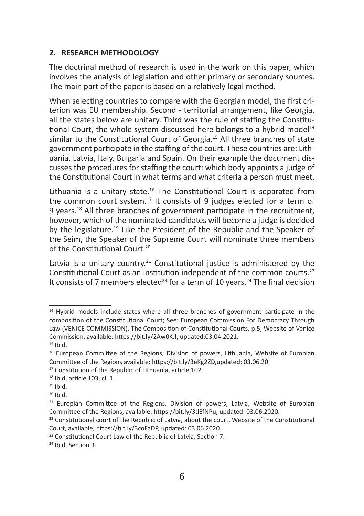## **2. RESEARCH METHODOLOGY**

The doctrinal method of research is used in the work on this paper, which involves the analysis of legislation and other primary or secondary sources. The main part of the paper is based on a relatively legal method.

When selecting countries to compare with the Georgian model, the first criterion was EU membership. Second - territorial arrangement, like Georgia, all the states below are unitary. Third was the rule of staffing the Constitutional Court, the whole system discussed here belongs to a hybrid model<sup>14</sup> similar to the Constitutional Court of Georgia.<sup>15</sup> All three branches of state government participate in the staffing of the court. These countries are: Lithuania, Latvia, Italy, Bulgaria and Spain. On their example the document discusses the procedures for staffing the court: which body appoints a judge of the Constitutional Court in what terms and what criteria a person must meet.

Lithuania is a unitary state.<sup>16</sup> The Constitutional Court is separated from the common court system.<sup>17</sup> It consists of 9 judges elected for a term of 9 years.<sup>18</sup> All three branches of government participate in the recruitment, however, which of the nominated candidates will become a judge is decided by the legislature.<sup>19</sup> Like the President of the Republic and the Speaker of the Seim, the Speaker of the Supreme Court will nominate three members of the Constitutional Court.<sup>20</sup>

Latvia is a unitary country.<sup>21</sup> Constitutional justice is administered by the Constitutional Court as an institution independent of the common courts.<sup>22</sup> It consists of 7 members elected<sup>23</sup> for a term of 10 years.<sup>24</sup> The final decision

 $14$  Hybrid models include states where all three branches of government participate in the composition of the Constitutional Court; See: European Commission For Democracy Through Law (VENICE COMMISSION), The Composition of Constitutional Courts, p.5, Website of Venice Commission, available: https://bit.ly/2Aw0KJl, updated:03.04.2021.  $15$  Ihid.

<sup>&</sup>lt;sup>16</sup> European Committee of the Regions, Division of powers, Lithuania, Website of Europian Committee of the Regions available: https://bit.ly/3eKg2ZD,updated: 03.06.20.

<sup>&</sup>lt;sup>17</sup> Constitution of the Republic of Lithuania, article 102.

<sup>18</sup> Ibid, article 103, cl. 1.

 $19$  Ibid.

 $20$  Ibid.

 $21$  Europian Committee of the Regions, Division of powers, Latvia, Website of Europian Committee of the Regions, available: https://bit.ly/3dEfNPu, updated: 03.06.2020.

<sup>&</sup>lt;sup>22</sup> Constitutional court of the Republic of Latvia, about the court, Website of the Constitutional Court, available, https://bit.ly/3coFaDP, updated: 03.06.2020.

<sup>23</sup> Constitutional Court Law of the Republic of Latvia, Section 7.

<sup>24</sup> Ibid, Section 3.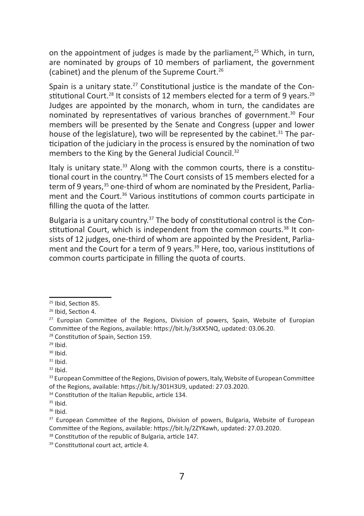on the appointment of judges is made by the parliament.<sup>25</sup> Which, in turn, are nominated by groups of 10 members of parliament, the government (cabinet) and the plenum of the Supreme Court.<sup>26</sup>

Spain is a unitary state.<sup>27</sup> Constitutional justice is the mandate of the Constitutional Court.<sup>28</sup> It consists of 12 members elected for a term of 9 years.<sup>29</sup> Judges are appointed by the monarch, whom in turn, the candidates are nominated by representatives of various branches of government.<sup>30</sup> Four members will be presented by the Senate and Congress (upper and lower house of the legislature), two will be represented by the cabinet.<sup>31</sup> The participation of the judiciary in the process is ensured by the nomination of two members to the King by the General Judicial Council.<sup>32</sup>

Italy is unitary state. $33$  Along with the common courts, there is a constitutional court in the country.<sup>34</sup> The Court consists of 15 members elected for a term of 9 years.<sup>35</sup> one-third of whom are nominated by the President. Parliament and the Court.<sup>36</sup> Various institutions of common courts participate in filling the quota of the latter.

Bulgaria is a unitary country.<sup>37</sup> The body of constitutional control is the Constitutional Court, which is independent from the common courts.38 It consists of 12 judges, one-third of whom are appointed by the President, Parliament and the Court for a term of 9 years.<sup>39</sup> Here, too, various institutions of common courts participate in filling the quota of courts.

 $36$  Ibid.

<sup>25</sup> Ibid, Section 85.

<sup>26</sup> Ibid, Section 4.

 $27$  Europian Committee of the Regions, Division of powers, Spain, Website of Europian Committee of the Regions, available: https://bit.ly/3sKX5NQ, updated: 03.06.20.

<sup>28</sup> Constitution of Spain, Section 159.

 $29$  Ibid.

 $30$  Ibid.

 $31$  Ibid.

 $32$  Ibid.

<sup>&</sup>lt;sup>33</sup> European Committee of the Regions, Division of powers, Italy, Website of European Committee of the Regions, available: https://bit.ly/301H3U9, updated: 27.03.2020.

<sup>&</sup>lt;sup>34</sup> Constitution of the Italian Republic, article 134.

 $35$  Ibid.

<sup>&</sup>lt;sup>37</sup> European Committee of the Regions, Division of powers, Bulgaria, Website of European Committee of the Regions, available: https://bit.ly/2ZYKawh, updated: 27.03.2020.

<sup>&</sup>lt;sup>38</sup> Constitution of the republic of Bulgaria, article 147.

<sup>39</sup> Constitutional court act, article 4.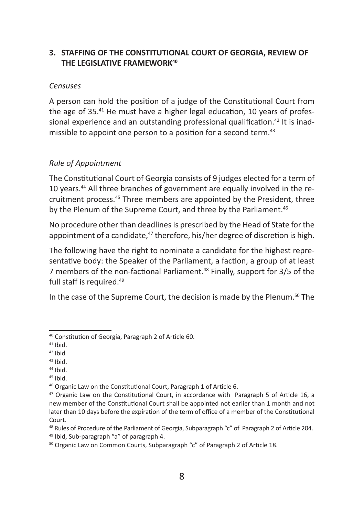## **3. STAFFING OF THE CONSTITUTIONAL COURT OF GEORGIA, REVIEW OF THE LEGISLATIVE FRAMEWORK40**

#### *Censuses*

A person can hold the position of a judge of the Constitutional Court from the age of 35.<sup>41</sup> He must have a higher legal education, 10 years of professional experience and an outstanding professional qualification.<sup>42</sup> It is inadmissible to appoint one person to a position for a second term.<sup>43</sup>

## *Rule of Appointment*

The Constitutional Court of Georgia consists of 9 judges elected for a term of 10 years.<sup>44</sup> All three branches of government are equally involved in the recruitment process.45 Three members are appointed by the President, three by the Plenum of the Supreme Court, and three by the Parliament.<sup>46</sup>

No procedure other than deadlines is prescribed by the Head of State for the appointment of a candidate.<sup>47</sup> therefore, his/her degree of discretion is high.

The following have the right to nominate a candidate for the highest representative body: the Speaker of the Parliament, a faction, a group of at least 7 members of the non-factional Parliament.<sup>48</sup> Finally, support for 3/5 of the full staff is required.<sup>49</sup>

In the case of the Supreme Court, the decision is made by the Plenum.<sup>50</sup> The

- $43$  Ibid.
- $44$  Ibid.

<sup>40</sup> Constitution of Georgia, Paragraph 2 of Article 60.

 $41$  Ihid.

 $42$  Ihid

 $45$  Ibid.

<sup>46</sup> Organic Law on the Constitutional Court, Paragraph 1 of Article 6.

<sup>&</sup>lt;sup>47</sup> Organic Law on the Constitutional Court, in accordance with Paragraph 5 of Article 16, a new member of the Constitutional Court shall be appointed not earlier than 1 month and not later than 10 days before the expiration of the term of office of a member of the Constitutional Court.

<sup>&</sup>lt;sup>48</sup> Rules of Procedure of the Parliament of Georgia, Subparagraph "c" of Paragraph 2 of Article 204. <sup>49</sup> Ibid, Sub-paragraph "a" of paragraph 4.

<sup>50</sup> Organic Law on Common Courts, Subparagraph "c" of Paragraph 2 of Article 18.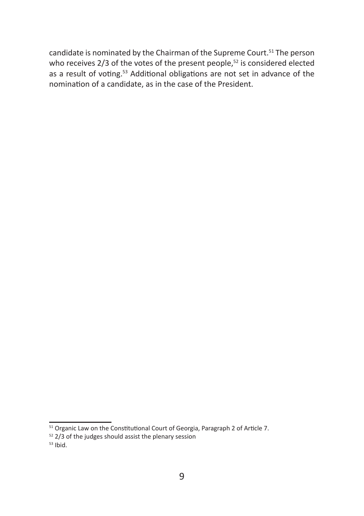candidate is nominated by the Chairman of the Supreme Court.<sup>51</sup> The person who receives 2/3 of the votes of the present people,<sup>52</sup> is considered elected as a result of voting.<sup>53</sup> Additional obligations are not set in advance of the nomination of a candidate, as in the case of the President.

 $\overline{51}$  Organic Law on the Constitutional Court of Georgia, Paragraph 2 of Article 7.

 $52$  2/3 of the judges should assist the plenary session

 $53$  Ibid.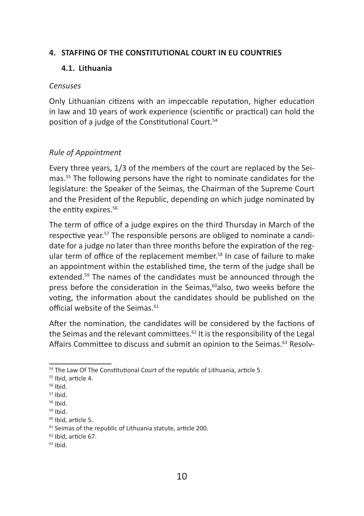## **4. STAFFING OF THE CONSTITUTIONAL COURT IN EU COUNTRIES**

## **4.1. Lithuania**

#### *Censuses*

Only Lithuanian citizens with an impeccable reputation, higher education in law and 10 years of work experience (scientific or practical) can hold the position of a judge of the Constitutional Court.<sup>54</sup>

## *Rule of Appointment*

Every three years, 1/3 of the members of the court are replaced by the Seimas.55 The following persons have the right to nominate candidates for the legislature: the Speaker of the Seimas, the Chairman of the Supreme Court and the President of the Republic, depending on which judge nominated by the entity expires.<sup>56</sup>

The term of office of a judge expires on the third Thursday in March of the respective year.57 The responsible persons are obliged to nominate a candidate for a judge no later than three months before the expiration of the regular term of office of the replacement member.<sup>58</sup> In case of failure to make an appointment within the established time, the term of the judge shall be extended.<sup>59</sup> The names of the candidates must be announced through the press before the consideration in the Seimas.<sup>60</sup>also, two weeks before the voting, the information about the candidates should be published on the official website of the Seimas. $61$ 

After the nomination, the candidates will be considered by the factions of the Seimas and the relevant committees.<sup>62</sup> It is the responsibility of the Legal Affairs Committee to discuss and submit an opinion to the Seimas.<sup>63</sup> Resolv-

<sup>&</sup>lt;sup>54</sup> The Law Of The Constitutional Court of the republic of Lithuania, article 5.

<sup>55</sup> Ibid, article 4.

<sup>56</sup> Ibid.

 $57$  Ibid.

<sup>58</sup> Ibid.

<sup>59</sup> Ibid.

<sup>60</sup> Ibid, article 5.

<sup>&</sup>lt;sup>61</sup> Seimas of the republic of Lithuania statute, article 200.

<sup>62</sup> Ibid, article 67.

 $63$  Ibid.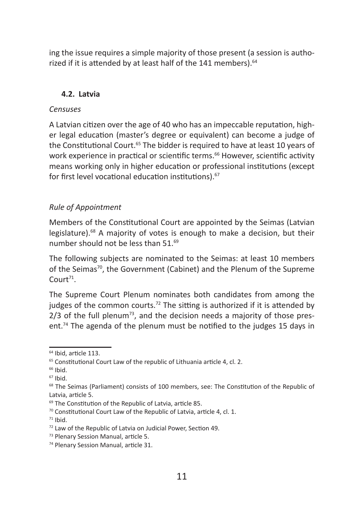ing the issue requires a simple majority of those present (a session is authorized if it is attended by at least half of the 141 members).<sup>64</sup>

#### **4.2. Latvia**

#### *Censuses*

A Latvian citizen over the age of 40 who has an impeccable reputation, higher legal education (master's degree or equivalent) can become a judge of the Constitutional Court.<sup>65</sup> The bidder is required to have at least 10 years of work experience in practical or scientific terms.<sup>66</sup> However, scientific activity means working only in higher education or professional institutions (except for first level vocational education institutions).<sup>67</sup>

#### *Rule of Appointment*

Members of the Constitutional Court are appointed by the Seimas (Latvian legislature).<sup>68</sup> A majority of votes is enough to make a decision, but their number should not be less than 51.<sup>69</sup>

The following subjects are nominated to the Seimas: at least 10 members of the Seimas<sup>70</sup>, the Government (Cabinet) and the Plenum of the Supreme  $C$ ourt<sup>71</sup>

The Supreme Court Plenum nominates both candidates from among the judges of the common courts.<sup>72</sup> The sitting is authorized if it is attended by  $2/3$  of the full plenum<sup>73</sup>, and the decision needs a majority of those present.<sup>74</sup> The agenda of the plenum must be notified to the judges 15 days in

<sup>64</sup> Ibid, article 113.

<sup>&</sup>lt;sup>65</sup> Constitutional Court Law of the republic of Lithuania article 4, cl. 2.

 $66$  Ibid.

<sup>67</sup> Ibid.

<sup>68</sup> The Seimas (Parliament) consists of 100 members, see: The Constitution of the Republic of Latvia, article 5.

<sup>69</sup> The Constitution of the Republic of Latvia, article 85.

<sup>70</sup> Constitutional Court Law of the Republic of Latvia, article 4, cl. 1.

 $71$  Ibid.

<sup>72</sup> Law of the Republic of Latvia on Judicial Power, Section 49.

<sup>73</sup> Plenary Session Manual, article 5.

<sup>74</sup> Plenary Session Manual, article 31.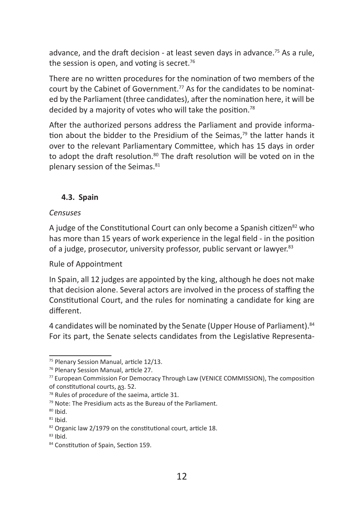advance, and the draft decision - at least seven days in advance.<sup>75</sup> As a rule, the session is open, and voting is secret. $76$ 

There are no written procedures for the nomination of two members of the court by the Cabinet of Government.<sup>77</sup> As for the candidates to be nominated by the Parliament (three candidates), after the nomination here, it will be decided by a majority of votes who will take the position.78

After the authorized persons address the Parliament and provide information about the bidder to the Presidium of the Seimas, $79$  the latter hands it over to the relevant Parliamentary Committee, which has 15 days in order to adopt the draft resolution.<sup>80</sup> The draft resolution will be voted on in the plenary session of the Seimas.<sup>81</sup>

## **4.3. Spain**

### *Censuses*

A judge of the Constitutional Court can only become a Spanish citizen<sup>82</sup> who has more than 15 years of work experience in the legal field - in the position of a judge, prosecutor, university professor, public servant or lawyer.<sup>83</sup>

## Rule of Appointment

In Spain, all 12 judges are appointed by the king, although he does not make that decision alone. Several actors are involved in the process of staffing the Constitutional Court, and the rules for nominating a candidate for king are different.

4 candidates will be nominated by the Senate (Upper House of Parliament). 84 For its part, the Senate selects candidates from the Legislative Representa-

<sup>75</sup> Plenary Session Manual, article 12/13.

<sup>76</sup> Plenary Session Manual, article 27.

<sup>77</sup> European Commission For Democracy Through Law (VENICE COMMISSION), The composition of constitutional courts, გვ. 52.

<sup>78</sup> Rules of procedure of the saeima, article 31.

<sup>79</sup> Note: The Presidium acts as the Bureau of the Parliament.

<sup>80</sup> Ibid.

 $81$  Ibid.

<sup>82</sup> Organic law 2/1979 on the constitutional court, article 18.

 $83$  Ibid.

<sup>84</sup> Constitution of Spain, Section 159.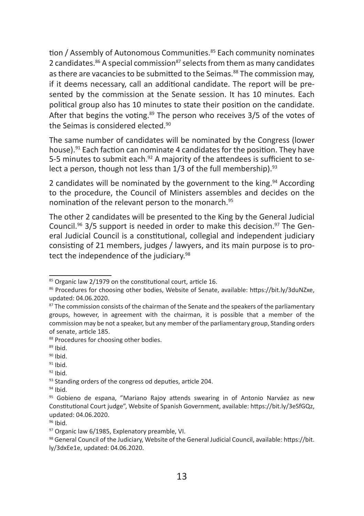tion / Assembly of Autonomous Communities.<sup>85</sup> Each community nominates 2 candidates. $86$  A special commission $87$  selects from them as many candidates as there are vacancies to be submitted to the Seimas.<sup>88</sup> The commission may, if it deems necessary, call an additional candidate. The report will be presented by the commission at the Senate session. It has 10 minutes. Each political group also has 10 minutes to state their position on the candidate. After that begins the voting. $89$  The person who receives 3/5 of the votes of the Seimas is considered elected.<sup>90</sup>

The same number of candidates will be nominated by the Congress (lower house).<sup>91</sup> Each faction can nominate 4 candidates for the position. They have 5-5 minutes to submit each.<sup>92</sup> A majority of the attendees is sufficient to select a person, though not less than  $1/3$  of the full membership).  $93$ 

2 candidates will be nominated by the government to the king. $94$  According to the procedure, the Council of Ministers assembles and decides on the nomination of the relevant person to the monarch.<sup>95</sup>

The other 2 candidates will be presented to the King by the General Judicial Council.<sup>96</sup> 3/5 support is needed in order to make this decision.<sup>97</sup> The General Judicial Council is a constitutional, collegial and independent judiciary consisting of 21 members, judges / lawyers, and its main purpose is to protect the independence of the judiciary.<sup>98</sup>

 $92$  Ibid.

 $94$  Ibid.

<sup>&</sup>lt;sup>85</sup> Organic law 2/1979 on the constitutional court, article 16.

<sup>86</sup> Procedures for choosing other bodies, Website of Senate, available: https://bit.ly/3duNZxe, updated: 04.06.2020.

<sup>&</sup>lt;sup>87</sup> The commission consists of the chairman of the Senate and the speakers of the parliamentary groups, however, in agreement with the chairman, it is possible that a member of the commission may be not a speaker, but any member of the parliamentary group, Standing orders of senate, article 185.

<sup>88</sup> Procedures for choosing other bodies.

 $89$  Ibid.

<sup>90</sup> Ibid.

 $91$  Ibid.

<sup>93</sup> Standing orders of the congress od deputies, article 204.

<sup>95</sup> Gobieno de espana, "Mariano Rajoy attends swearing in of Antonio Narváez as new Constitutional Court judge", Website of Spanish Government, available: https://bit.ly/3eSfGQz, updated: 04.06.2020.

 $96$  Ibid.

<sup>97</sup> Organic law 6/1985. Explenatory preamble, VI.

<sup>98</sup> General Council of the Judiciary, Website of the General Judicial Council, available: https://bit. ly/3dxEe1e, updated: 04.06.2020.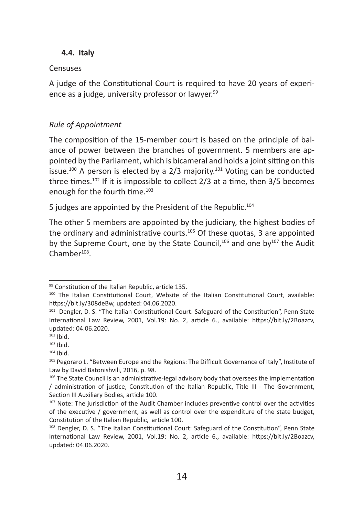#### **4.4. Italy**

#### Censuses

A judge of the Constitutional Court is required to have 20 years of experience as a judge, university professor or lawyer.<sup>99</sup>

### *Rule of Appointment*

The composition of the 15-member court is based on the principle of balance of power between the branches of government. 5 members are appointed by the Parliament, which is bicameral and holds a joint sitting on this issue.<sup>100</sup> A person is elected by a 2/3 majority.<sup>101</sup> Voting can be conducted three times.<sup>102</sup> If it is impossible to collect 2/3 at a time, then 3/5 becomes enough for the fourth time.<sup>103</sup>

5 judges are appointed by the President of the Republic.<sup>104</sup>

The other 5 members are appointed by the judiciary, the highest bodies of the ordinary and administrative courts.<sup>105</sup> Of these quotas, 3 are appointed by the Supreme Court, one by the State Council, $106$  and one by $107$  the Audit  $Chamber<sup>108</sup>$ .

<sup>99</sup> Constitution of the Italian Republic, article 135.

<sup>&</sup>lt;sup>100</sup> The Italian Constitutional Court, Website of the Italian Constitutional Court, available: https://bit.ly/308deBw, updated: 04.06.2020.

<sup>&</sup>lt;sup>101</sup> Dengler, D. S. "The Italian Constitutional Court: Safeguard of the Constitution". Penn State International Law Review, 2001, Vol.19: No. 2, article 6., available: https://bit.ly/2Boazcv, updated: 04.06.2020.

 $102$  Ibid.

 $103$  Ihid.

 $104$  Ibid.

<sup>&</sup>lt;sup>105</sup> Pegoraro L. "Between Europe and the Regions: The Difficult Governance of Italy", Institute of Law by David Batonishvili, 2016, p. 98.

<sup>&</sup>lt;sup>106</sup> The State Council is an administrative-legal advisory body that oversees the implementation / administration of justice, Constitution of the Italian Republic, Title III - The Government, Section III Auxiliary Bodies, article 100.

<sup>&</sup>lt;sup>107</sup> Note: The jurisdiction of the Audit Chamber includes preventive control over the activities of the executive / government, as well as control over the expenditure of the state budget, Constitution of the Italian Republic, article 100.

<sup>108</sup> Dengler, D. S. "The Italian Constitutional Court: Safeguard of the Constitution", Penn State International Law Review, 2001, Vol.19: No. 2, article 6., available: https://bit.ly/2Boazcv, updated: 04.06.2020.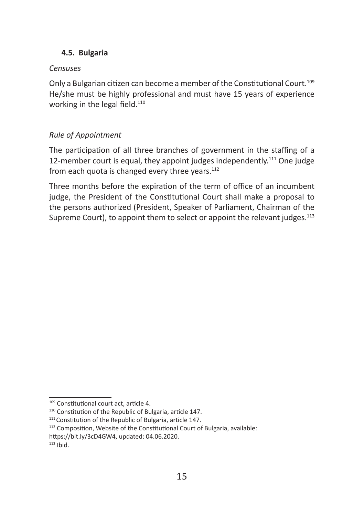## **4.5. Bulgaria**

## *Censuses*

Only a Bulgarian citizen can become a member of the Constitutional Court.<sup>109</sup> He/she must be highly professional and must have 15 years of experience working in the legal field.<sup>110</sup>

## *Rule of Appointment*

The participation of all three branches of government in the staffing of a 12-member court is equal, they appoint judges independently.<sup>111</sup> One judge from each quota is changed every three years. $112$ 

Three months before the expiration of the term of office of an incumbent judge, the President of the Constitutional Court shall make a proposal to the persons authorized (President, Speaker of Parliament, Chairman of the Supreme Court), to appoint them to select or appoint the relevant judges.<sup>113</sup>

<sup>109</sup> Constitutional court act, article 4.

<sup>110</sup> Constitution of the Republic of Bulgaria, article 147.

<sup>&</sup>lt;sup>111</sup> Constitution of the Republic of Bulgaria, article 147.

<sup>112</sup> Composition, Website of the Constitutional Court of Bulgaria, available: https://bit.ly/3cD4GW4, updated: 04.06.2020.

 $113$  Ibid.